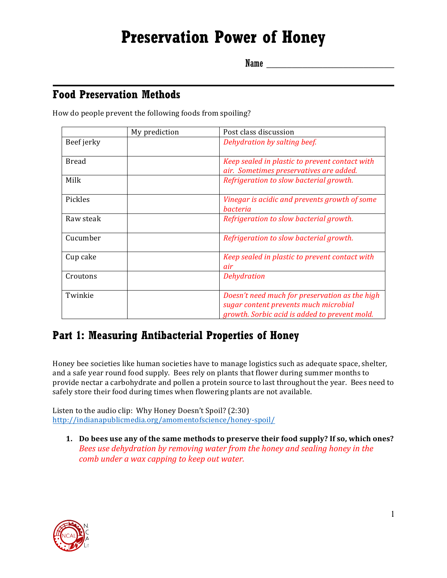# **Preservation Power of Honey**

Name \_\_\_\_\_\_\_\_\_\_\_\_\_\_\_\_\_\_\_\_\_\_\_\_\_

#### **Food Preservation Methods**

How do people prevent the following foods from spoiling?

|            | My prediction | Post class discussion                                                                                                                    |
|------------|---------------|------------------------------------------------------------------------------------------------------------------------------------------|
| Beef jerky |               | Dehydration by salting beef.                                                                                                             |
| Bread      |               | Keep sealed in plastic to prevent contact with<br>air. Sometimes preservatives are added.                                                |
| Milk       |               | Refrigeration to slow bacterial growth.                                                                                                  |
| Pickles    |               | Vinegar is acidic and prevents growth of some<br><i>bacteria</i>                                                                         |
| Raw steak  |               | Refrigeration to slow bacterial growth.                                                                                                  |
| Cucumber   |               | Refrigeration to slow bacterial growth.                                                                                                  |
| Cup cake   |               | Keep sealed in plastic to prevent contact with<br>air                                                                                    |
| Croutons   |               | <b>Dehydration</b>                                                                                                                       |
| Twinkie    |               | Doesn't need much for preservation as the high<br>sugar content prevents much microbial<br>growth. Sorbic acid is added to prevent mold. |

#### **Part 1: Measuring Antibacterial Properties of Honey**

Honey bee societies like human societies have to manage logistics such as adequate space, shelter, and a safe year round food supply. Bees rely on plants that flower during summer months to provide nectar a carbohydrate and pollen a protein source to last throughout the year. Bees need to safely store their food during times when flowering plants are not available.

Listen to the audio clip: Why Honey Doesn't Spoil? (2:30) http://indianapublicmedia.org/amomentofscience/honey-spoil/

1. Do bees use any of the same methods to preserve their food supply? If so, which ones? *Bees use dehydration by removing water from the honey and sealing honey in the comb* under a wax capping to keep out water.

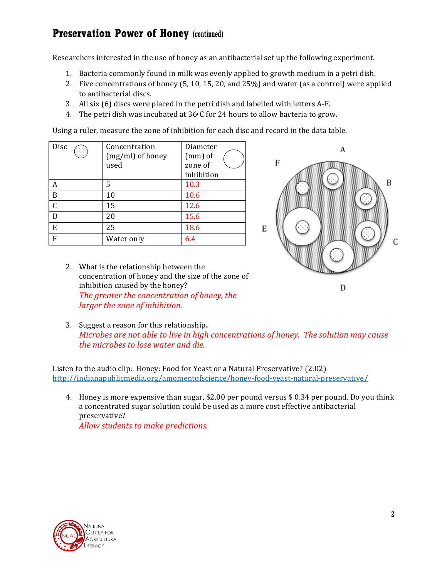Researchers interested in the use of honey as an antibacterial set up the following experiment.

- 1. Bacteria commonly found in milk was evenly applied to growth medium in a petri dish.
- 2. Five concentrations of honey  $(5, 10, 15, 20,$  and  $25\%)$  and water (as a control) were applied to antibacterial discs.
- 3. All six  $(6)$  discs were placed in the petri dish and labelled with letters A-F.
- 4. The petri dish was incubated at  $36^{\circ}$ C for 24 hours to allow bacteria to grow.

Using a ruler, measure the zone of inhibition for each disc and record in the data table.

| Disc | Concentration    | Diameter   |
|------|------------------|------------|
|      | (mg/ml) of honey | $(mm)$ of  |
|      | used             | zone of    |
|      |                  | inhibition |
| A    | 5                | 10.3       |
| B    | 10               | 10.6       |
| C    | 15               | 12.6       |
| D    | 20               | 15.6       |
| E    | 25               | 18.6       |
| F    | Water only       | 6.4        |



- 2. What is the relationship between the concentration of honey and the size of the zone of inhibition caused by the honey? The greater the concentration of honey, the *larger the zone of inhibition.*
- 3. Suggest a reason for this relationship. *Microbes are not able to live in high concentrations of honey. The solution may cause the microbes to lose water and die.*

Listen to the audio clip: Honey: Food for Yeast or a Natural Preservative? (2:02) http://indianapublicmedia.org/amomentofscience/honey-food-yeast-natural-preservative/

4. Honey is more expensive than sugar, \$2.00 per pound versus \$ 0.34 per pound. Do you think a concentrated sugar solution could be used as a more cost effective antibacterial preservative? Allow students to make predictions.

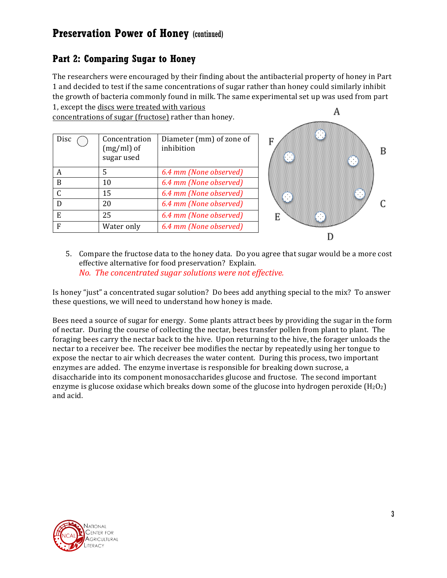#### **Part 2: Comparing Sugar to Honey**

The researchers were encouraged by their finding about the antibacterial property of honey in Part 1 and decided to test if the same concentrations of sugar rather than honey could similarly inhibit the growth of bacteria commonly found in milk. The same experimental set up was used from part 1, except the discs were treated with various

concentrations of sugar (fructose) rather than honey.

| Disc<br>Œ     | Concentration<br>$(mg/ml)$ of<br>sugar used | Diameter (mm) of zone of<br>inhibition |
|---------------|---------------------------------------------|----------------------------------------|
| А             | 5                                           | 6.4 mm (None observed)                 |
| B             | 10                                          | 6.4 mm (None observed)                 |
| $\mathcal{C}$ | 15                                          | 6.4 mm (None observed)                 |
| D             | 20                                          | 6.4 mm (None observed)                 |
| E             | 25                                          | 6.4 mm (None observed)                 |
| F             | Water only                                  | 6.4 mm (None observed)                 |



5. Compare the fructose data to the honey data. Do you agree that sugar would be a more cost effective alternative for food preservation? Explain. *No. The concentrated sugar solutions were not effective.* 

Is honey "just" a concentrated sugar solution? Do bees add anything special to the mix? To answer these questions, we will need to understand how honey is made.

Bees need a source of sugar for energy. Some plants attract bees by providing the sugar in the form of nectar. During the course of collecting the nectar, bees transfer pollen from plant to plant. The foraging bees carry the nectar back to the hive. Upon returning to the hive, the forager unloads the nectar to a receiver bee. The receiver bee modifies the nectar by repeatedly using her tongue to expose the nectar to air which decreases the water content. During this process, two important enzymes are added. The enzyme invertase is responsible for breaking down sucrose, a disaccharide into its component monosaccharides glucose and fructose. The second important enzyme is glucose oxidase which breaks down some of the glucose into hydrogen peroxide  $(H_2O_2)$ and acid.

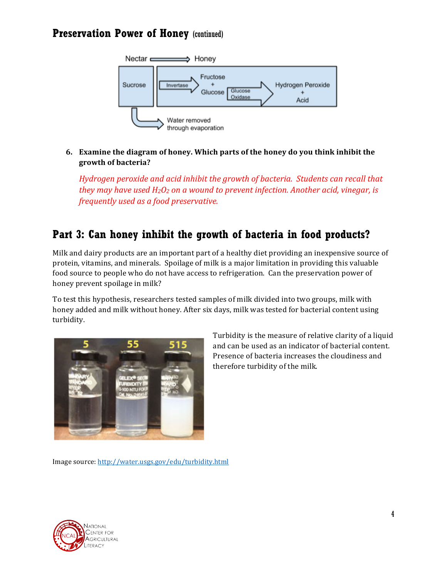

#### **6.** Examine the diagram of honey. Which parts of the honey do you think inhibit the **growth of bacteria?**

*Hydrogen peroxide and acid inhibit the growth of bacteria. Students can recall that they* may have used  $H_2O_2$  *on a wound to prevent infection. Another acid, vinegar, is frequently used as a food preservative.* 

## **Part 3: Can honey inhibit the growth of bacteria in food products?**

Milk and dairy products are an important part of a healthy diet providing an inexpensive source of protein, vitamins, and minerals. Spoilage of milk is a major limitation in providing this valuable food source to people who do not have access to refrigeration. Can the preservation power of honey prevent spoilage in milk?

To test this hypothesis, researchers tested samples of milk divided into two groups, milk with honey added and milk without honey. After six days, milk was tested for bacterial content using turbidity.



Turbidity is the measure of relative clarity of a liquid and can be used as an indicator of bacterial content. Presence of bacteria increases the cloudiness and therefore turbidity of the milk.

Image source: http://water.usgs.gov/edu/turbidity.html